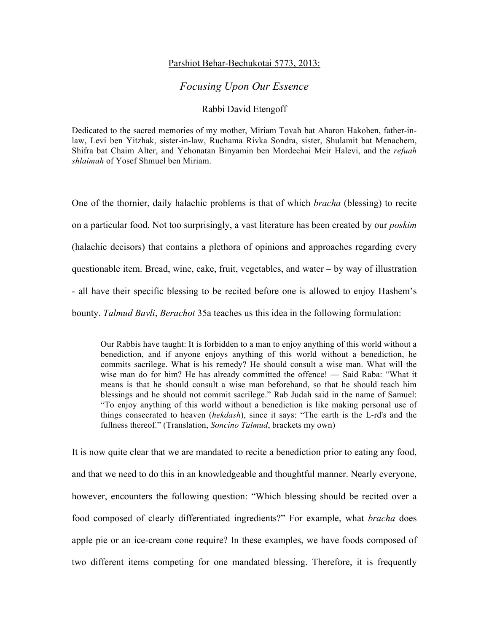## Parshiot Behar-Bechukotai 5773, 2013:

## *Focusing Upon Our Essence*

## Rabbi David Etengoff

Dedicated to the sacred memories of my mother, Miriam Tovah bat Aharon Hakohen, father-inlaw, Levi ben Yitzhak, sister-in-law, Ruchama Rivka Sondra, sister, Shulamit bat Menachem, Shifra bat Chaim Alter, and Yehonatan Binyamin ben Mordechai Meir Halevi, and the *refuah shlaimah* of Yosef Shmuel ben Miriam.

One of the thornier, daily halachic problems is that of which *bracha* (blessing) to recite on a particular food. Not too surprisingly, a vast literature has been created by our *poskim* (halachic decisors) that contains a plethora of opinions and approaches regarding every questionable item. Bread, wine, cake, fruit, vegetables, and water – by way of illustration - all have their specific blessing to be recited before one is allowed to enjoy Hashem's bounty. *Talmud Bavli*, *Berachot* 35a teaches us this idea in the following formulation:

Our Rabbis have taught: It is forbidden to a man to enjoy anything of this world without a benediction, and if anyone enjoys anything of this world without a benediction, he commits sacrilege. What is his remedy? He should consult a wise man. What will the wise man do for him? He has already committed the offence! — Said Raba: "What it means is that he should consult a wise man beforehand, so that he should teach him blessings and he should not commit sacrilege." Rab Judah said in the name of Samuel: "To enjoy anything of this world without a benediction is like making personal use of things consecrated to heaven (*hekdash*), since it says: "The earth is the L-rd's and the fullness thereof." (Translation, *Soncino Talmud*, brackets my own)

It is now quite clear that we are mandated to recite a benediction prior to eating any food, and that we need to do this in an knowledgeable and thoughtful manner. Nearly everyone, however, encounters the following question: "Which blessing should be recited over a food composed of clearly differentiated ingredients?" For example, what *bracha* does apple pie or an ice-cream cone require? In these examples, we have foods composed of two different items competing for one mandated blessing. Therefore, it is frequently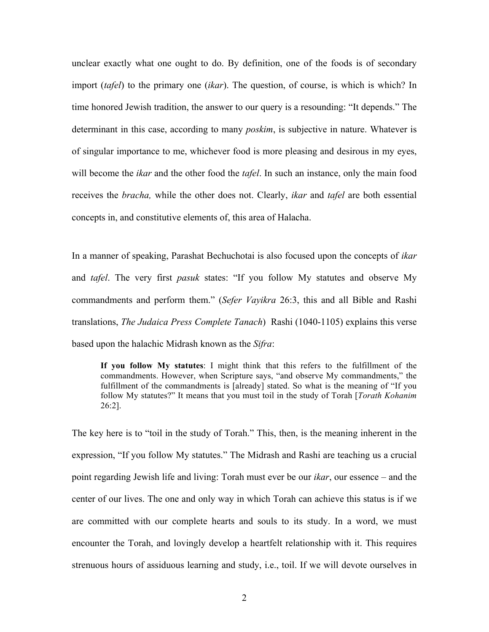unclear exactly what one ought to do. By definition, one of the foods is of secondary import (*tafel*) to the primary one (*ikar*). The question, of course, is which is which? In time honored Jewish tradition, the answer to our query is a resounding: "It depends." The determinant in this case, according to many *poskim*, is subjective in nature. Whatever is of singular importance to me, whichever food is more pleasing and desirous in my eyes, will become the *ikar* and the other food the *tafel*. In such an instance, only the main food receives the *bracha,* while the other does not. Clearly, *ikar* and *tafel* are both essential concepts in, and constitutive elements of, this area of Halacha.

In a manner of speaking, Parashat Bechuchotai is also focused upon the concepts of *ikar* and *tafel*. The very first *pasuk* states: "If you follow My statutes and observe My commandments and perform them." (*Sefer Vayikra* 26:3, this and all Bible and Rashi translations, *The Judaica Press Complete Tanach*) Rashi (1040-1105) explains this verse based upon the halachic Midrash known as the *Sifra*:

**If you follow My statutes**: I might think that this refers to the fulfillment of the commandments. However, when Scripture says, "and observe My commandments," the fulfillment of the commandments is [already] stated. So what is the meaning of "If you follow My statutes?" It means that you must toil in the study of Torah [*Torath Kohanim* 26:2].

The key here is to "toil in the study of Torah." This, then, is the meaning inherent in the expression, "If you follow My statutes." The Midrash and Rashi are teaching us a crucial point regarding Jewish life and living: Torah must ever be our *ikar*, our essence – and the center of our lives. The one and only way in which Torah can achieve this status is if we are committed with our complete hearts and souls to its study. In a word, we must encounter the Torah, and lovingly develop a heartfelt relationship with it. This requires strenuous hours of assiduous learning and study, i.e., toil. If we will devote ourselves in